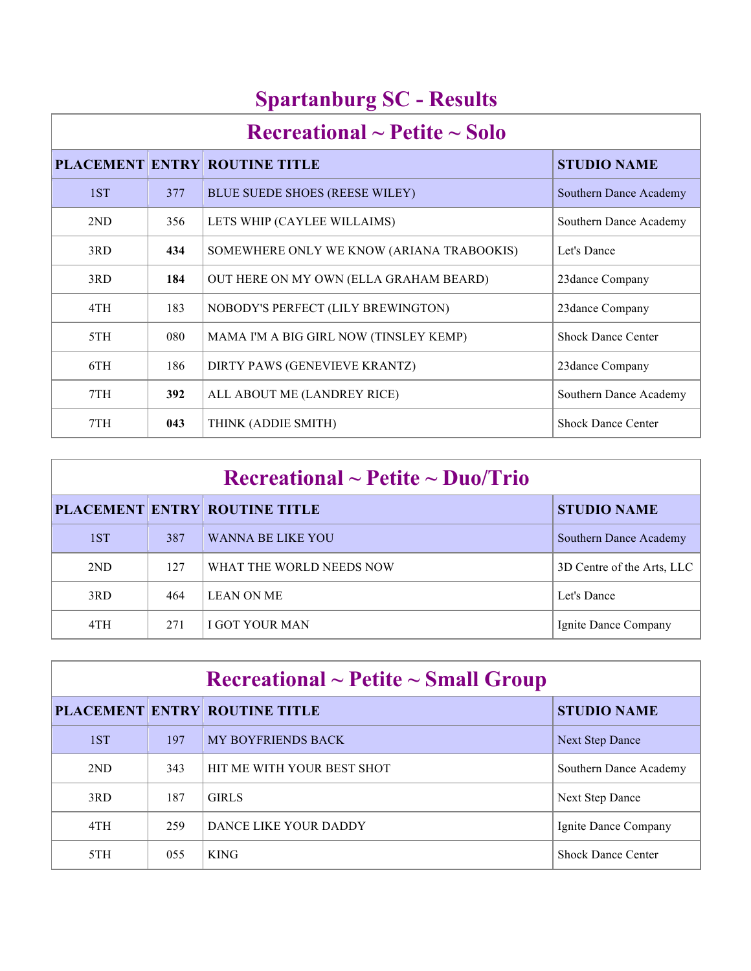| <b>Spartanburg SC - Results</b>           |     |                                           |                           |  |
|-------------------------------------------|-----|-------------------------------------------|---------------------------|--|
| $\rm Recreational \sim Peitite \sim Solo$ |     |                                           |                           |  |
|                                           |     | <b>PLACEMENT ENTRY ROUTINE TITLE</b>      | <b>STUDIO NAME</b>        |  |
| 1ST                                       | 377 | <b>BLUE SUEDE SHOES (REESE WILEY)</b>     | Southern Dance Academy    |  |
| 2ND                                       | 356 | LETS WHIP (CAYLEE WILLAIMS)               | Southern Dance Academy    |  |
| 3RD                                       | 434 | SOMEWHERE ONLY WE KNOW (ARIANA TRABOOKIS) | Let's Dance               |  |
| 3RD                                       | 184 | OUT HERE ON MY OWN (ELLA GRAHAM BEARD)    | 23 dance Company          |  |
| 4TH                                       | 183 | NOBODY'S PERFECT (LILY BREWINGTON)        | 23dance Company           |  |
| 5TH                                       | 080 | MAMA I'M A BIG GIRL NOW (TINSLEY KEMP)    | <b>Shock Dance Center</b> |  |
| 6TH                                       | 186 | DIRTY PAWS (GENEVIEVE KRANTZ)             | 23 dance Company          |  |
| 7TH                                       | 392 | ALL ABOUT ME (LANDREY RICE)               | Southern Dance Academy    |  |
| 7TH                                       | 043 | THINK (ADDIE SMITH)                       | <b>Shock Dance Center</b> |  |

| $\rm Recreational \sim Petite \sim Duo/Trio$ |     |                                      |                            |
|----------------------------------------------|-----|--------------------------------------|----------------------------|
|                                              |     | <b>PLACEMENT ENTRY ROUTINE TITLE</b> | <b>STUDIO NAME</b>         |
| 1ST                                          | 387 | <b>WANNA BE LIKE YOU</b>             | Southern Dance Academy     |
| 2ND                                          | 127 | WHAT THE WORLD NEEDS NOW             | 3D Centre of the Arts, LLC |
| 3RD                                          | 464 | <b>LEAN ON ME</b>                    | Let's Dance                |
| 4TH                                          | 271 | <b>I GOT YOUR MAN</b>                | Ignite Dance Company       |

| $\rm Recreational \sim Petite \sim Small~Group$ |     |                                      |                           |
|-------------------------------------------------|-----|--------------------------------------|---------------------------|
|                                                 |     | <b>PLACEMENT ENTRY ROUTINE TITLE</b> | <b>STUDIO NAME</b>        |
| 1ST                                             | 197 | <b>MY BOYFRIENDS BACK</b>            | Next Step Dance           |
| 2ND                                             | 343 | HIT ME WITH YOUR BEST SHOT           | Southern Dance Academy    |
| 3RD                                             | 187 | <b>GIRLS</b>                         | Next Step Dance           |
| 4TH                                             | 259 | DANCE LIKE YOUR DADDY                | Ignite Dance Company      |
| 5TH                                             | 055 | <b>KING</b>                          | <b>Shock Dance Center</b> |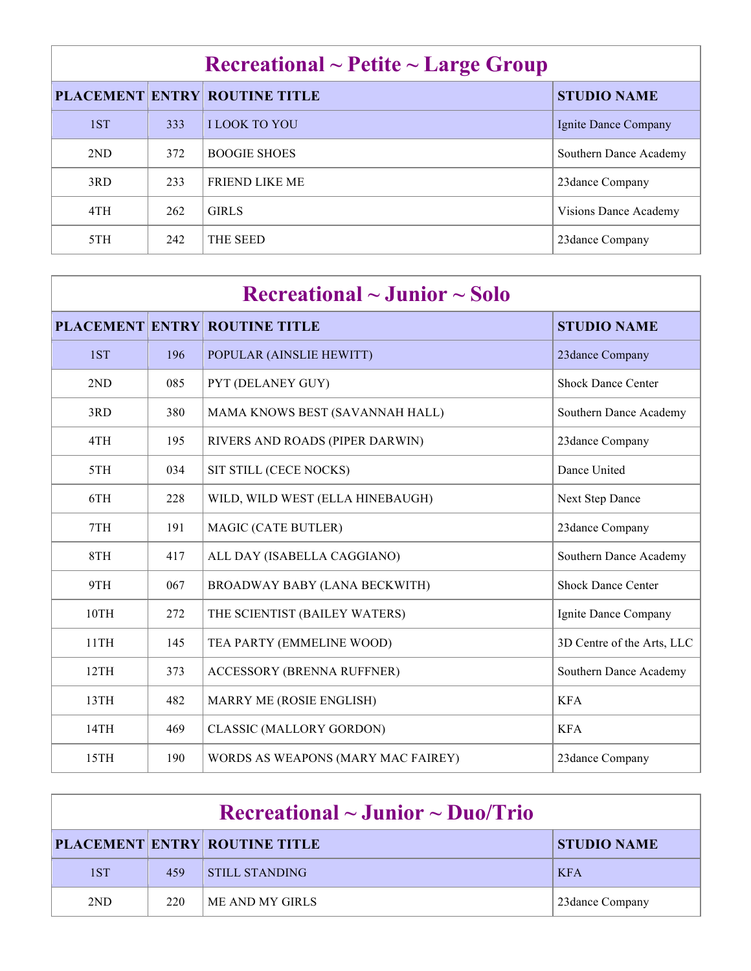| Recreational $\sim$ Petite $\sim$ Large Group |     |                                      |                        |
|-----------------------------------------------|-----|--------------------------------------|------------------------|
|                                               |     | <b>PLACEMENT ENTRY ROUTINE TITLE</b> | <b>STUDIO NAME</b>     |
| 1ST                                           | 333 | <b>ILOOK TO YOU</b>                  | Ignite Dance Company   |
| 2ND                                           | 372 | <b>BOOGIE SHOES</b>                  | Southern Dance Academy |
| 3RD                                           | 233 | <b>FRIEND LIKE ME</b>                | 23 dance Company       |
| 4TH                                           | 262 | <b>GIRLS</b>                         | Visions Dance Academy  |
| 5TH                                           | 242 | <b>THE SEED</b>                      | 23 dance Company       |

| $\rm Recreational \sim Junior \sim Solo$ |     |                                      |                            |
|------------------------------------------|-----|--------------------------------------|----------------------------|
|                                          |     | <b>PLACEMENT ENTRY ROUTINE TITLE</b> | <b>STUDIO NAME</b>         |
| 1ST                                      | 196 | POPULAR (AINSLIE HEWITT)             | 23dance Company            |
| 2ND                                      | 085 | PYT (DELANEY GUY)                    | <b>Shock Dance Center</b>  |
| 3RD                                      | 380 | MAMA KNOWS BEST (SAVANNAH HALL)      | Southern Dance Academy     |
| 4TH                                      | 195 | RIVERS AND ROADS (PIPER DARWIN)      | 23dance Company            |
| 5TH                                      | 034 | SIT STILL (CECE NOCKS)               | Dance United               |
| 6TH                                      | 228 | WILD, WILD WEST (ELLA HINEBAUGH)     | Next Step Dance            |
| 7TH                                      | 191 | <b>MAGIC (CATE BUTLER)</b>           | 23dance Company            |
| 8TH                                      | 417 | ALL DAY (ISABELLA CAGGIANO)          | Southern Dance Academy     |
| 9TH                                      | 067 | BROADWAY BABY (LANA BECKWITH)        | <b>Shock Dance Center</b>  |
| 10TH                                     | 272 | THE SCIENTIST (BAILEY WATERS)        | Ignite Dance Company       |
| 11TH                                     | 145 | TEA PARTY (EMMELINE WOOD)            | 3D Centre of the Arts, LLC |
| 12TH                                     | 373 | <b>ACCESSORY (BRENNA RUFFNER)</b>    | Southern Dance Academy     |
| 13TH                                     | 482 | MARRY ME (ROSIE ENGLISH)             | <b>KFA</b>                 |
| 14TH                                     | 469 | <b>CLASSIC (MALLORY GORDON)</b>      | <b>KFA</b>                 |
| 15TH                                     | 190 | WORDS AS WEAPONS (MARY MAC FAIREY)   | 23dance Company            |

|     | $\rm Recreational \sim Junior \sim Duo/Trio$ |                                      |                    |  |
|-----|----------------------------------------------|--------------------------------------|--------------------|--|
|     |                                              | <b>PLACEMENT ENTRY ROUTINE TITLE</b> | <b>STUDIO NAME</b> |  |
| 1ST | 459                                          | STILL STANDING                       | <b>KFA</b>         |  |
| 2ND | 220                                          | ME AND MY GIRLS                      | 23 dance Company   |  |

 $\overline{r}$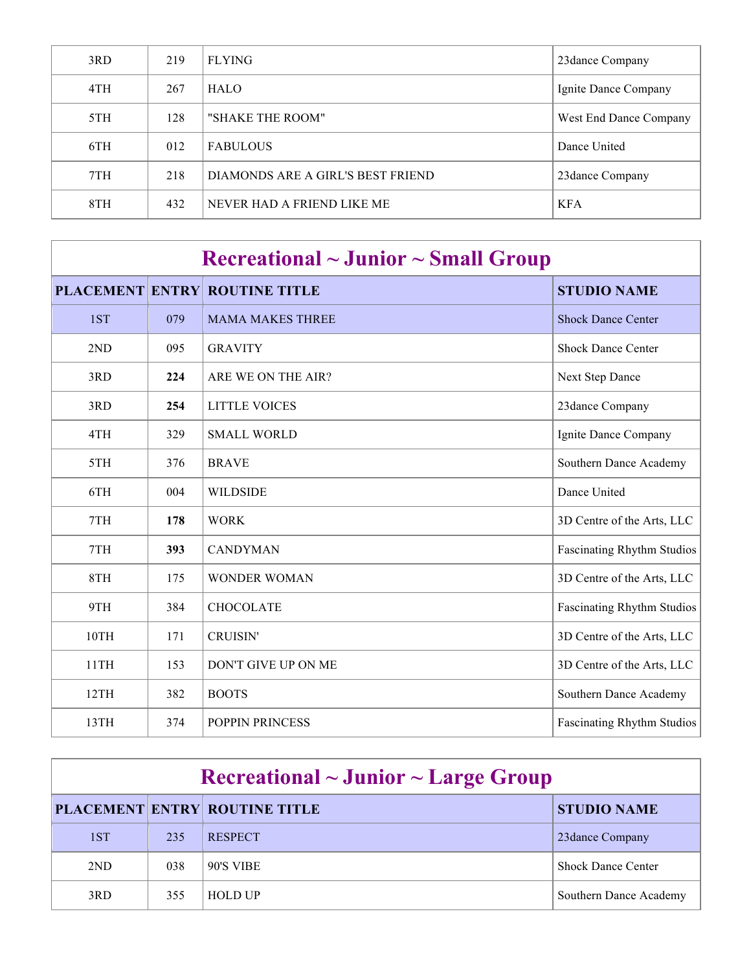| 3RD | 219 | <b>FLYING</b>                     | 23 dance Company       |
|-----|-----|-----------------------------------|------------------------|
| 4TH | 267 | <b>HALO</b>                       | Ignite Dance Company   |
| 5TH | 128 | "SHAKE THE ROOM"                  | West End Dance Company |
| 6TH | 012 | <b>FABULOUS</b>                   | Dance United           |
| 7TH | 218 | DIAMONDS ARE A GIRL'S BEST FRIEND | 23dance Company        |
| 8TH | 432 | NEVER HAD A FRIEND LIKE ME        | <b>KFA</b>             |

| $\rm Recreational \sim Junior \sim Small~Group$ |     |                                      |                                   |
|-------------------------------------------------|-----|--------------------------------------|-----------------------------------|
|                                                 |     | <b>PLACEMENT ENTRY ROUTINE TITLE</b> | <b>STUDIO NAME</b>                |
| 1ST                                             | 079 | <b>MAMA MAKES THREE</b>              | <b>Shock Dance Center</b>         |
| 2ND                                             | 095 | <b>GRAVITY</b>                       | <b>Shock Dance Center</b>         |
| 3RD                                             | 224 | ARE WE ON THE AIR?                   | Next Step Dance                   |
| 3RD                                             | 254 | <b>LITTLE VOICES</b>                 | 23dance Company                   |
| 4TH                                             | 329 | <b>SMALL WORLD</b>                   | Ignite Dance Company              |
| 5TH                                             | 376 | <b>BRAVE</b>                         | Southern Dance Academy            |
| 6TH                                             | 004 | <b>WILDSIDE</b>                      | Dance United                      |
| 7TH                                             | 178 | <b>WORK</b>                          | 3D Centre of the Arts, LLC        |
| 7TH                                             | 393 | <b>CANDYMAN</b>                      | <b>Fascinating Rhythm Studios</b> |
| 8TH                                             | 175 | <b>WONDER WOMAN</b>                  | 3D Centre of the Arts, LLC        |
| 9TH                                             | 384 | <b>CHOCOLATE</b>                     | <b>Fascinating Rhythm Studios</b> |
| 10TH                                            | 171 | <b>CRUISIN'</b>                      | 3D Centre of the Arts, LLC        |
| 11TH                                            | 153 | DON'T GIVE UP ON ME                  | 3D Centre of the Arts, LLC        |
| 12TH                                            | 382 | <b>BOOTS</b>                         | Southern Dance Academy            |
| 13TH                                            | 374 | <b>POPPIN PRINCESS</b>               | <b>Fascinating Rhythm Studios</b> |

| $\rm Recreational \sim Junior \sim Large\ Group$ |     |                                      |                           |
|--------------------------------------------------|-----|--------------------------------------|---------------------------|
|                                                  |     | <b>PLACEMENT ENTRY ROUTINE TITLE</b> | <b>STUDIO NAME</b>        |
| 1ST                                              | 235 | <b>RESPECT</b>                       | 23 dance Company          |
| 2ND                                              | 038 | 90'S VIBE                            | <b>Shock Dance Center</b> |
| 3RD                                              | 355 | <b>HOLD UP</b>                       | Southern Dance Academy    |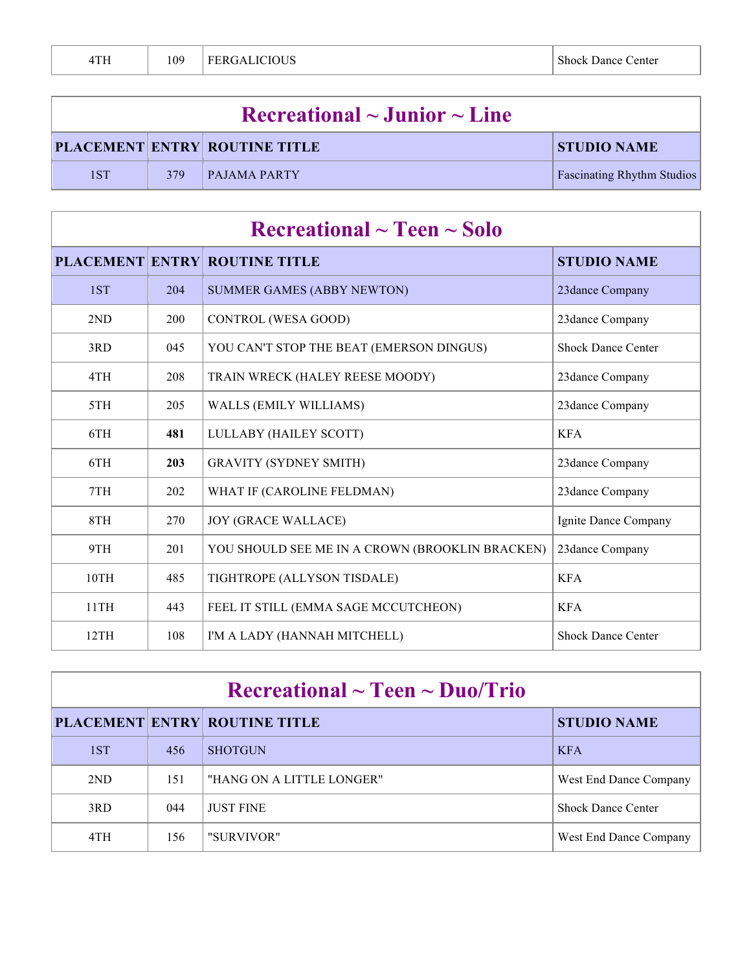| ATTT<br>ЧП | 109 | <b>FERGALICIOUS</b> | <b>Shock Dance Center</b> |
|------------|-----|---------------------|---------------------------|
|------------|-----|---------------------|---------------------------|

|     | Recreational $\sim$ Junior $\sim$ Line |                                      |                                   |  |  |
|-----|----------------------------------------|--------------------------------------|-----------------------------------|--|--|
|     |                                        | <b>PLACEMENT ENTRY ROUTINE TITLE</b> | <b>STUDIO NAME</b>                |  |  |
| 1ST | 379                                    | <b>PAJAMA PARTY</b>                  | <b>Fascinating Rhythm Studios</b> |  |  |

|      | $\rm Recreational \sim Teen \sim Solo$ |                                                 |                           |  |
|------|----------------------------------------|-------------------------------------------------|---------------------------|--|
|      |                                        | <b>PLACEMENT ENTRY ROUTINE TITLE</b>            | <b>STUDIO NAME</b>        |  |
| 1ST  | 204                                    | <b>SUMMER GAMES (ABBY NEWTON)</b>               | 23dance Company           |  |
| 2ND  | 200                                    | CONTROL (WESA GOOD)                             | 23dance Company           |  |
| 3RD  | 045                                    | YOU CAN'T STOP THE BEAT (EMERSON DINGUS)        | <b>Shock Dance Center</b> |  |
| 4TH  | 208                                    | TRAIN WRECK (HALEY REESE MOODY)                 | 23dance Company           |  |
| 5TH  | 205                                    | <b>WALLS (EMILY WILLIAMS)</b>                   | 23dance Company           |  |
| 6TH  | 481                                    | LULLABY (HAILEY SCOTT)                          | <b>KFA</b>                |  |
| 6TH  | 203                                    | <b>GRAVITY (SYDNEY SMITH)</b>                   | 23dance Company           |  |
| 7TH  | 202                                    | WHAT IF (CAROLINE FELDMAN)                      | 23dance Company           |  |
| 8TH  | 270                                    | <b>JOY (GRACE WALLACE)</b>                      | Ignite Dance Company      |  |
| 9TH  | 201                                    | YOU SHOULD SEE ME IN A CROWN (BROOKLIN BRACKEN) | 23dance Company           |  |
| 10TH | 485                                    | TIGHTROPE (ALLYSON TISDALE)                     | <b>KFA</b>                |  |
| 11TH | 443                                    | FEEL IT STILL (EMMA SAGE MCCUTCHEON)            | <b>KFA</b>                |  |
| 12TH | 108                                    | I'M A LADY (HANNAH MITCHELL)                    | <b>Shock Dance Center</b> |  |

| $\rm Recreational \sim Teen \sim Duo/Trio$ |     |                                      |                           |  |
|--------------------------------------------|-----|--------------------------------------|---------------------------|--|
|                                            |     | <b>PLACEMENT ENTRY ROUTINE TITLE</b> | <b>STUDIO NAME</b>        |  |
| 1ST                                        | 456 | <b>SHOTGUN</b>                       | <b>KFA</b>                |  |
| 2ND                                        | 151 | "HANG ON A LITTLE LONGER"            | West End Dance Company    |  |
| 3RD                                        | 044 | <b>JUST FINE</b>                     | <b>Shock Dance Center</b> |  |
| 4TH                                        | 156 | "SURVIVOR"                           | West End Dance Company    |  |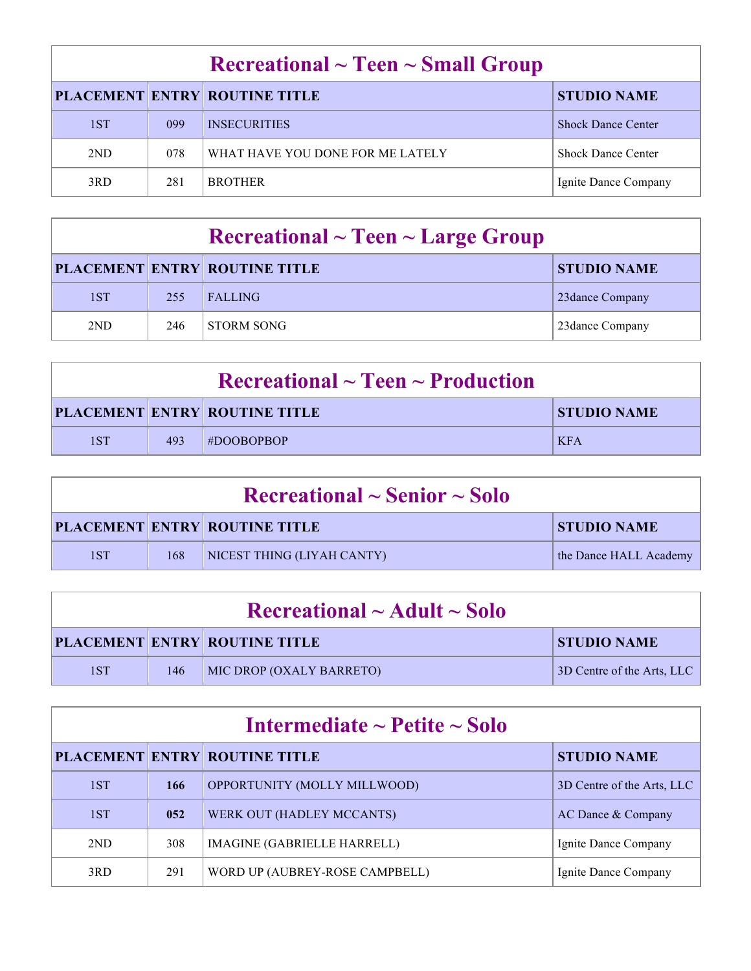|     |     | $\rm Recreational \sim Teen \sim Small\,\, Group$ |                           |
|-----|-----|---------------------------------------------------|---------------------------|
|     |     | <b>PLACEMENT ENTRY ROUTINE TITLE</b>              | <b>STUDIO NAME</b>        |
| 1ST | 099 | <b>INSECURITIES</b>                               | <b>Shock Dance Center</b> |
| 2ND | 078 | WHAT HAVE YOU DONE FOR ME LATELY                  | <b>Shock Dance Center</b> |
| 3RD | 281 | <b>BROTHER</b>                                    | Ignite Dance Company      |

| $\rm Recreational \sim Teen \sim Large\ Group$ |     |                                      |                    |
|------------------------------------------------|-----|--------------------------------------|--------------------|
|                                                |     | <b>PLACEMENT ENTRY ROUTINE TITLE</b> | <b>STUDIO NAME</b> |
| 1ST                                            | 255 | <b>FALLING</b>                       | 23 dance Company   |
| 2ND                                            | 246 | STORM SONG                           | 23 dance Company   |

| $\Gamma$ Recreational $\sim$ Teen $\sim$ Production |     |                                      |                    |  |
|-----------------------------------------------------|-----|--------------------------------------|--------------------|--|
|                                                     |     | <b>PLACEMENT ENTRY ROUTINE TITLE</b> | <b>STUDIO NAME</b> |  |
| 1ST                                                 | 493 | #DOOBOPBOP                           | <b>KFA</b>         |  |

| $\Gamma$ Recreational $\sim$ Senior $\sim$ Solo |     |                                      |                        |
|-------------------------------------------------|-----|--------------------------------------|------------------------|
|                                                 |     | <b>PLACEMENT ENTRY ROUTINE TITLE</b> | <b>STUDIO NAME</b>     |
| 1ST                                             | 168 | NICEST THING (LIYAH CANTY)           | the Dance HALL Academy |

| $\rm Recreational \sim Adult \sim Solo$ |     |                                      |                            |
|-----------------------------------------|-----|--------------------------------------|----------------------------|
|                                         |     | <b>PLACEMENT ENTRY ROUTINE TITLE</b> | <b>STUDIO NAME</b>         |
| 1ST                                     | 146 | MIC DROP (OXALY BARRETO)             | 3D Centre of the Arts, LLC |

| Intermediate $\sim$ Petite $\sim$ Solo |            |                                      |                            |  |
|----------------------------------------|------------|--------------------------------------|----------------------------|--|
|                                        |            | <b>PLACEMENT ENTRY ROUTINE TITLE</b> | <b>STUDIO NAME</b>         |  |
| 1ST                                    | <b>166</b> | OPPORTUNITY (MOLLY MILLWOOD)         | 3D Centre of the Arts, LLC |  |
| 1ST                                    | 052        | WERK OUT (HADLEY MCCANTS)            | AC Dance & Company         |  |
| 2ND                                    | 308        | IMAGINE (GABRIELLE HARRELL)          | Ignite Dance Company       |  |
| 3RD                                    | 291        | WORD UP (AUBREY-ROSE CAMPBELL)       | Ignite Dance Company       |  |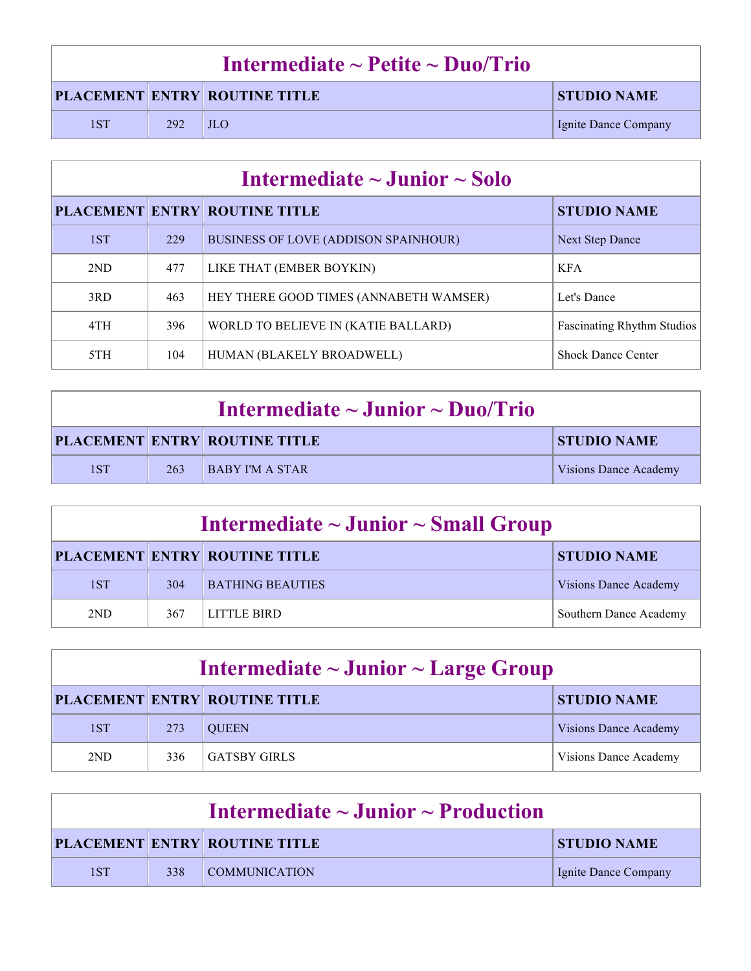| Intermediate $\sim$ Petite $\sim$ Duo/Trio |     |                                      |                      |  |
|--------------------------------------------|-----|--------------------------------------|----------------------|--|
|                                            |     | <b>PLACEMENT ENTRY ROUTINE TITLE</b> | <b>STUDIO NAME</b>   |  |
| 1ST                                        | 292 | JLO                                  | Ignite Dance Company |  |

| Intermediate $\sim$ Junior $\sim$ Solo |     |                                             |                                   |
|----------------------------------------|-----|---------------------------------------------|-----------------------------------|
|                                        |     | <b>PLACEMENT ENTRY ROUTINE TITLE</b>        | <b>STUDIO NAME</b>                |
| 1ST                                    | 229 | <b>BUSINESS OF LOVE (ADDISON SPAINHOUR)</b> | Next Step Dance                   |
| 2ND                                    | 477 | LIKE THAT (EMBER BOYKIN)                    | <b>KFA</b>                        |
| 3RD                                    | 463 | HEY THERE GOOD TIMES (ANNABETH WAMSER)      | Let's Dance                       |
| 4TH                                    | 396 | WORLD TO BELIEVE IN (KATIE BALLARD)         | <b>Fascinating Rhythm Studios</b> |
| 5TH                                    | 104 | HUMAN (BLAKELY BROADWELL)                   | <b>Shock Dance Center</b>         |

| Intermediate $\sim$ Junior $\sim$ Duo/Trio |     |                                      |                       |  |
|--------------------------------------------|-----|--------------------------------------|-----------------------|--|
|                                            |     | <b>PLACEMENT ENTRY ROUTINE TITLE</b> | <b>STUDIO NAME</b>    |  |
| 1ST                                        | 263 | $\vert$ BABY I'M A STAR              | Visions Dance Academy |  |

| Intermediate $\sim$ Junior $\sim$ Small Group |     |                                      |                        |  |
|-----------------------------------------------|-----|--------------------------------------|------------------------|--|
|                                               |     | <b>PLACEMENT ENTRY ROUTINE TITLE</b> | <b>STUDIO NAME</b>     |  |
| 1ST                                           | 304 | <b>BATHING BEAUTIES</b>              | Visions Dance Academy  |  |
| 2ND                                           | 367 | LITTLE BIRD                          | Southern Dance Academy |  |

| Intermediate $\sim$ Junior $\sim$ Large Group |     |                                      |                              |
|-----------------------------------------------|-----|--------------------------------------|------------------------------|
|                                               |     | <b>PLACEMENT ENTRY ROUTINE TITLE</b> | <b>STUDIO NAME</b>           |
| 1ST                                           | 273 | <b>QUEEN</b>                         | <b>Visions Dance Academy</b> |
| 2 <sub>ND</sub>                               | 336 | <b>GATSBY GIRLS</b>                  | Visions Dance Academy        |

| Intermediate $\sim$ Junior $\sim$ Production |     |                                      |                      |  |  |
|----------------------------------------------|-----|--------------------------------------|----------------------|--|--|
|                                              |     | <b>PLACEMENT ENTRY ROUTINE TITLE</b> | STUDIO NAME          |  |  |
| 1ST                                          | 338 | <b>COMMUNICATION</b>                 | Ignite Dance Company |  |  |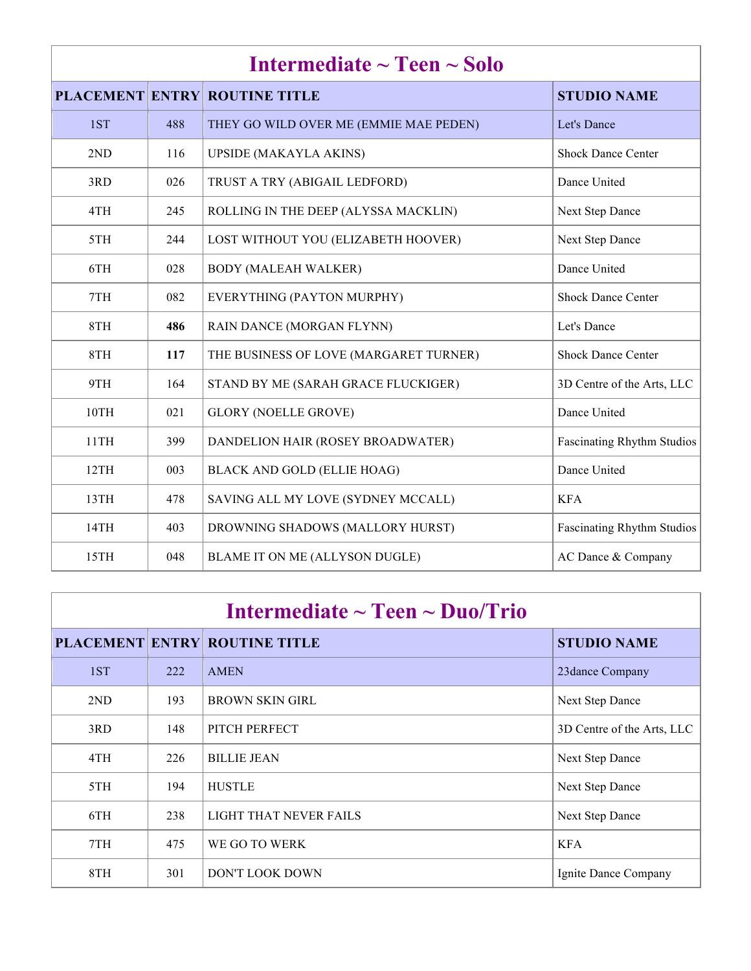| Intermediate $\sim$ Teen $\sim$ Solo |     |                                        |                                   |  |
|--------------------------------------|-----|----------------------------------------|-----------------------------------|--|
|                                      |     | <b>PLACEMENT ENTRY ROUTINE TITLE</b>   | <b>STUDIO NAME</b>                |  |
| 1ST                                  | 488 | THEY GO WILD OVER ME (EMMIE MAE PEDEN) | Let's Dance                       |  |
| 2ND                                  | 116 | <b>UPSIDE (MAKAYLA AKINS)</b>          | <b>Shock Dance Center</b>         |  |
| 3RD                                  | 026 | TRUST A TRY (ABIGAIL LEDFORD)          | Dance United                      |  |
| 4TH                                  | 245 | ROLLING IN THE DEEP (ALYSSA MACKLIN)   | Next Step Dance                   |  |
| 5TH                                  | 244 | LOST WITHOUT YOU (ELIZABETH HOOVER)    | Next Step Dance                   |  |
| 6TH                                  | 028 | <b>BODY (MALEAH WALKER)</b>            | Dance United                      |  |
| 7TH                                  | 082 | EVERYTHING (PAYTON MURPHY)             | <b>Shock Dance Center</b>         |  |
| 8TH                                  | 486 | RAIN DANCE (MORGAN FLYNN)              | Let's Dance                       |  |
| 8TH                                  | 117 | THE BUSINESS OF LOVE (MARGARET TURNER) | <b>Shock Dance Center</b>         |  |
| 9TH                                  | 164 | STAND BY ME (SARAH GRACE FLUCKIGER)    | 3D Centre of the Arts, LLC        |  |
| 10TH                                 | 021 | <b>GLORY (NOELLE GROVE)</b>            | Dance United                      |  |
| 11TH                                 | 399 | DANDELION HAIR (ROSEY BROADWATER)      | <b>Fascinating Rhythm Studios</b> |  |
| 12TH                                 | 003 | <b>BLACK AND GOLD (ELLIE HOAG)</b>     | Dance United                      |  |
| 13TH                                 | 478 | SAVING ALL MY LOVE (SYDNEY MCCALL)     | <b>KFA</b>                        |  |
| 14TH                                 | 403 | DROWNING SHADOWS (MALLORY HURST)       | <b>Fascinating Rhythm Studios</b> |  |
| 15TH                                 | 048 | BLAME IT ON ME (ALLYSON DUGLE)         | AC Dance & Company                |  |

| Intermediate $\sim$ Teen $\sim$ Duo/Trio |     |                                      |                            |  |
|------------------------------------------|-----|--------------------------------------|----------------------------|--|
|                                          |     | <b>PLACEMENT ENTRY ROUTINE TITLE</b> | <b>STUDIO NAME</b>         |  |
| 1ST                                      | 222 | <b>AMEN</b>                          | 23 dance Company           |  |
| 2ND                                      | 193 | <b>BROWN SKIN GIRL</b>               | Next Step Dance            |  |
| 3RD                                      | 148 | PITCH PERFECT                        | 3D Centre of the Arts, LLC |  |
| 4TH                                      | 226 | <b>BILLIE JEAN</b>                   | <b>Next Step Dance</b>     |  |
| 5TH                                      | 194 | <b>HUSTLE</b>                        | Next Step Dance            |  |
| 6TH                                      | 238 | LIGHT THAT NEVER FAILS               | Next Step Dance            |  |
| 7TH                                      | 475 | WE GO TO WERK                        | <b>KFA</b>                 |  |
| 8TH                                      | 301 | <b>DON'T LOOK DOWN</b>               | Ignite Dance Company       |  |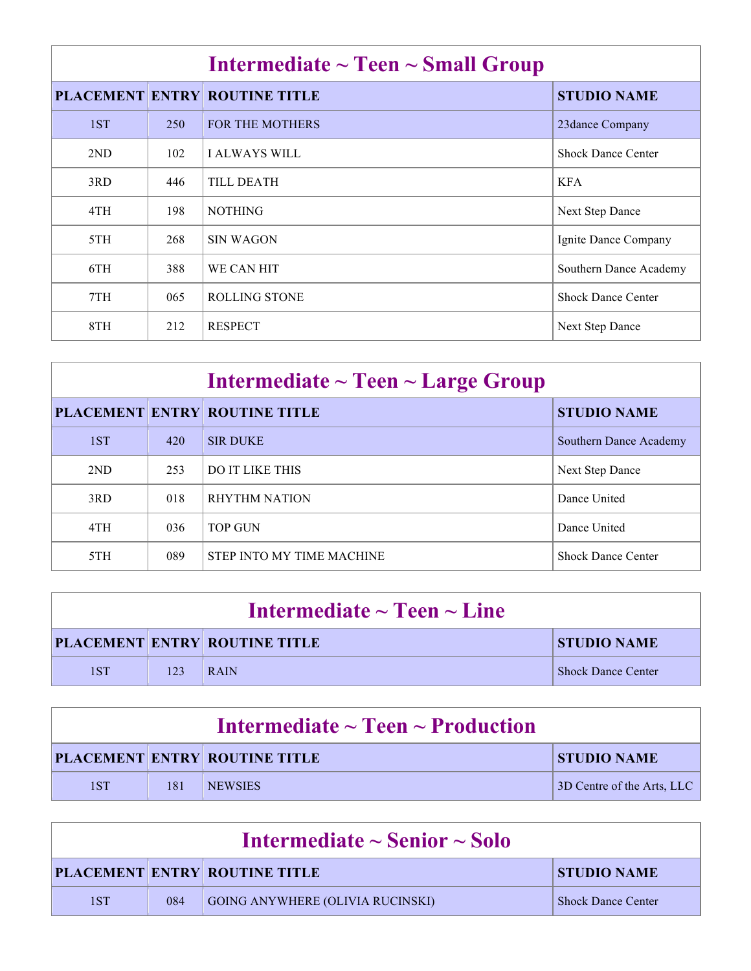| Intermediate $\sim$ Teen $\sim$ Small Group |     |                                      |                           |  |
|---------------------------------------------|-----|--------------------------------------|---------------------------|--|
|                                             |     | <b>PLACEMENT ENTRY ROUTINE TITLE</b> | <b>STUDIO NAME</b>        |  |
| 1ST                                         | 250 | <b>FOR THE MOTHERS</b>               | 23 dance Company          |  |
| 2ND                                         | 102 | <b>I ALWAYS WILL</b>                 | <b>Shock Dance Center</b> |  |
| 3RD                                         | 446 | <b>TILL DEATH</b>                    | <b>KFA</b>                |  |
| 4TH                                         | 198 | <b>NOTHING</b>                       | Next Step Dance           |  |
| 5TH                                         | 268 | <b>SIN WAGON</b>                     | Ignite Dance Company      |  |
| 6TH                                         | 388 | WE CAN HIT                           | Southern Dance Academy    |  |
| 7TH                                         | 065 | <b>ROLLING STONE</b>                 | <b>Shock Dance Center</b> |  |
| 8TH                                         | 212 | <b>RESPECT</b>                       | Next Step Dance           |  |

| Intermediate $\sim$ Teen $\sim$ Large Group |     |                                      |                           |  |
|---------------------------------------------|-----|--------------------------------------|---------------------------|--|
|                                             |     | <b>PLACEMENT ENTRY ROUTINE TITLE</b> | <b>STUDIO NAME</b>        |  |
| 1ST                                         | 420 | <b>SIR DUKE</b>                      | Southern Dance Academy    |  |
| 2ND                                         | 253 | <b>DO IT LIKE THIS</b>               | Next Step Dance           |  |
| 3RD                                         | 018 | <b>RHYTHM NATION</b>                 | Dance United              |  |
| 4TH                                         | 036 | <b>TOP GUN</b>                       | Dance United              |  |
| 5TH                                         | 089 | STEP INTO MY TIME MACHINE            | <b>Shock Dance Center</b> |  |

| Intermediate $\sim$ Teen $\sim$ Line |     |                                      |                           |  |  |
|--------------------------------------|-----|--------------------------------------|---------------------------|--|--|
|                                      |     | <b>PLACEMENT ENTRY ROUTINE TITLE</b> | <b>STUDIO NAME</b>        |  |  |
| 1ST                                  | 123 | <b>RAIN</b>                          | <b>Shock Dance Center</b> |  |  |

| Intermediate $\sim$ Teen $\sim$ Production |     |                                      |                            |  |
|--------------------------------------------|-----|--------------------------------------|----------------------------|--|
|                                            |     | <b>PLACEMENT ENTRY ROUTINE TITLE</b> | <b>STUDIO NAME</b>         |  |
| 1ST                                        | 181 | <b>NEWSIES</b>                       | 3D Centre of the Arts, LLC |  |

| Intermediate $\sim$ Senior $\sim$ Solo |     |                                      |                           |  |
|----------------------------------------|-----|--------------------------------------|---------------------------|--|
|                                        |     | <b>PLACEMENT ENTRY ROUTINE TITLE</b> | <b>STUDIO NAME</b>        |  |
| 1ST                                    | 084 | GOING ANYWHERE (OLIVIA RUCINSKI)     | <b>Shock Dance Center</b> |  |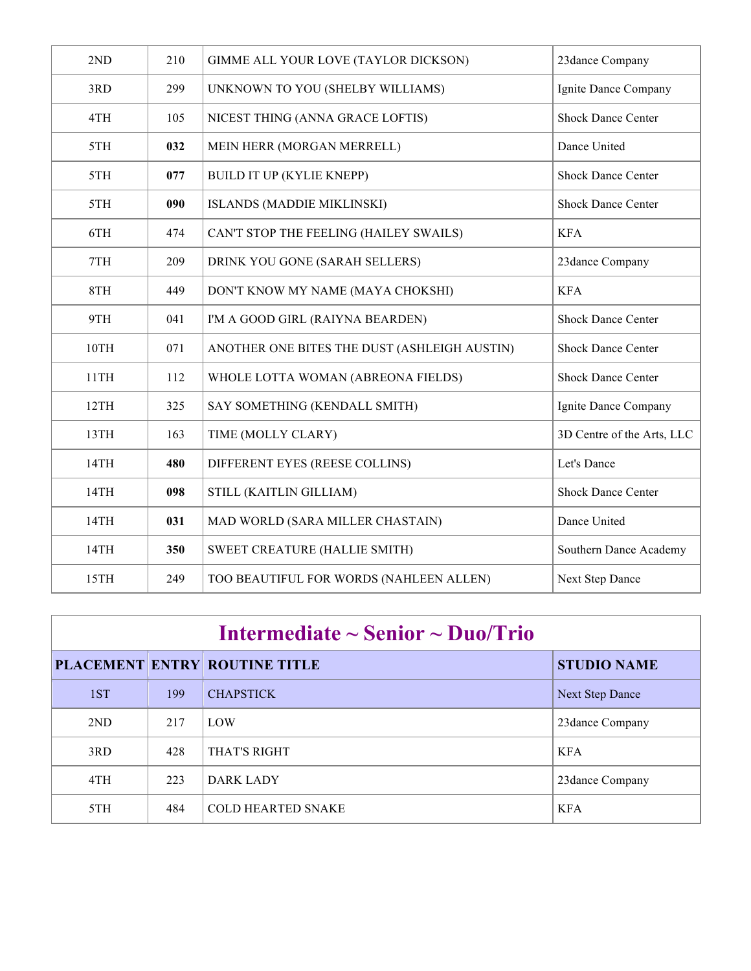| 2ND  | 210 | GIMME ALL YOUR LOVE (TAYLOR DICKSON)         | 23dance Company            |
|------|-----|----------------------------------------------|----------------------------|
| 3RD  | 299 | UNKNOWN TO YOU (SHELBY WILLIAMS)             | Ignite Dance Company       |
| 4TH  | 105 | NICEST THING (ANNA GRACE LOFTIS)             | <b>Shock Dance Center</b>  |
| 5TH  | 032 | MEIN HERR (MORGAN MERRELL)                   | Dance United               |
| 5TH  | 077 | <b>BUILD IT UP (KYLIE KNEPP)</b>             | <b>Shock Dance Center</b>  |
| 5TH  | 090 | ISLANDS (MADDIE MIKLINSKI)                   | <b>Shock Dance Center</b>  |
| 6TH  | 474 | CAN'T STOP THE FEELING (HAILEY SWAILS)       | <b>KFA</b>                 |
| 7TH  | 209 | DRINK YOU GONE (SARAH SELLERS)               | 23dance Company            |
| 8TH  | 449 | DON'T KNOW MY NAME (MAYA CHOKSHI)            | <b>KFA</b>                 |
| 9TH  | 041 | I'M A GOOD GIRL (RAIYNA BEARDEN)             | <b>Shock Dance Center</b>  |
| 10TH | 071 | ANOTHER ONE BITES THE DUST (ASHLEIGH AUSTIN) | <b>Shock Dance Center</b>  |
| 11TH | 112 | WHOLE LOTTA WOMAN (ABREONA FIELDS)           | <b>Shock Dance Center</b>  |
| 12TH | 325 | SAY SOMETHING (KENDALL SMITH)                | Ignite Dance Company       |
| 13TH | 163 | TIME (MOLLY CLARY)                           | 3D Centre of the Arts, LLC |
| 14TH | 480 | DIFFERENT EYES (REESE COLLINS)               | Let's Dance                |
| 14TH | 098 | STILL (KAITLIN GILLIAM)                      | <b>Shock Dance Center</b>  |
| 14TH | 031 | MAD WORLD (SARA MILLER CHASTAIN)             | Dance United               |
| 14TH | 350 | <b>SWEET CREATURE (HALLIE SMITH)</b>         | Southern Dance Academy     |
| 15TH | 249 | TOO BEAUTIFUL FOR WORDS (NAHLEEN ALLEN)      | Next Step Dance            |

| Intermediate $\sim$ Senior $\sim$ Duo/Trio |     |                                      |                    |  |  |
|--------------------------------------------|-----|--------------------------------------|--------------------|--|--|
|                                            |     | <b>PLACEMENT ENTRY ROUTINE TITLE</b> | <b>STUDIO NAME</b> |  |  |
| 1ST                                        | 199 | <b>CHAPSTICK</b>                     | Next Step Dance    |  |  |
| 2ND                                        | 217 | LOW                                  | 23dance Company    |  |  |
| 3RD                                        | 428 | <b>THAT'S RIGHT</b>                  | <b>KFA</b>         |  |  |
| 4TH                                        | 223 | DARK LADY                            | 23dance Company    |  |  |
| 5TH                                        | 484 | <b>COLD HEARTED SNAKE</b>            | <b>KFA</b>         |  |  |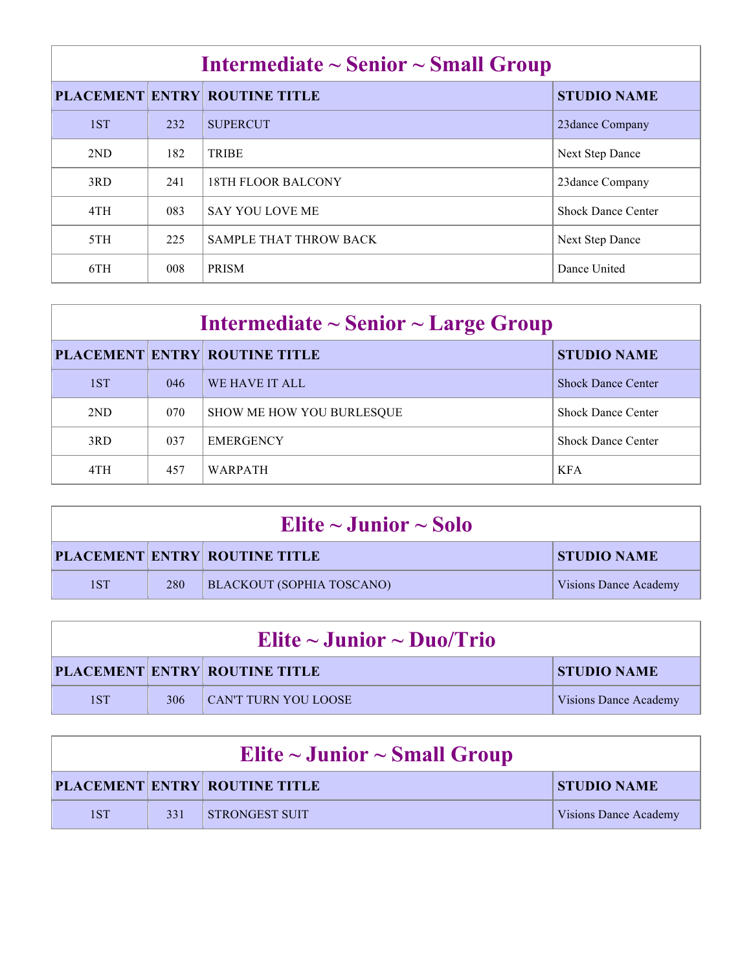|     |     | <b>PLACEMENT ENTRY ROUTINE TITLE</b> | <b>STUDIO NAME</b>        |
|-----|-----|--------------------------------------|---------------------------|
| 1ST | 232 | <b>SUPERCUT</b>                      | 23 dance Company          |
| 2ND | 182 | <b>TRIBE</b>                         | Next Step Dance           |
| 3RD | 241 | 18TH FLOOR BALCONY                   | 23dance Company           |
| 4TH | 083 | <b>SAY YOU LOVE ME</b>               | <b>Shock Dance Center</b> |
| 5TH | 225 | <b>SAMPLE THAT THROW BACK</b>        | Next Step Dance           |
| 6TH | 008 | <b>PRISM</b>                         | Dance United              |

| Intermediate $\sim$ Senior $\sim$ Large Group |     |                                      |                           |  |
|-----------------------------------------------|-----|--------------------------------------|---------------------------|--|
|                                               |     | <b>PLACEMENT ENTRY ROUTINE TITLE</b> | <b>STUDIO NAME</b>        |  |
| 1ST                                           | 046 | WE HAVE IT ALL                       | <b>Shock Dance Center</b> |  |
| 2ND                                           | 070 | SHOW ME HOW YOU BURLESQUE            | <b>Shock Dance Center</b> |  |
| 3RD                                           | 037 | <b>EMERGENCY</b>                     | <b>Shock Dance Center</b> |  |
| 4TH                                           | 457 | WARPATH                              | <b>KFA</b>                |  |

| Elite $\sim$ Junior $\sim$ Solo |     |                                      |                       |  |
|---------------------------------|-----|--------------------------------------|-----------------------|--|
|                                 |     | <b>PLACEMENT ENTRY ROUTINE TITLE</b> | <b>STUDIO NAME</b>    |  |
| 1ST                             | 280 | BLACKOUT (SOPHIA TOSCANO)            | Visions Dance Academy |  |

| Elite ~ Junior ~ Duo/Trio |     |                                      |                       |  |
|---------------------------|-----|--------------------------------------|-----------------------|--|
|                           |     | <b>PLACEMENT ENTRY ROUTINE TITLE</b> | <b>STUDIO NAME</b>    |  |
| 1ST                       | 306 | I CAN'T TURN YOU LOOSE               | Visions Dance Academy |  |

| Elite $\sim$ Junior $\sim$ Small Group |     |                                      |                       |  |
|----------------------------------------|-----|--------------------------------------|-----------------------|--|
|                                        |     | <b>PLACEMENT ENTRY ROUTINE TITLE</b> | <b>STUDIO NAME</b>    |  |
| 1ST                                    | 331 | <b>STRONGEST SUIT</b>                | Visions Dance Academy |  |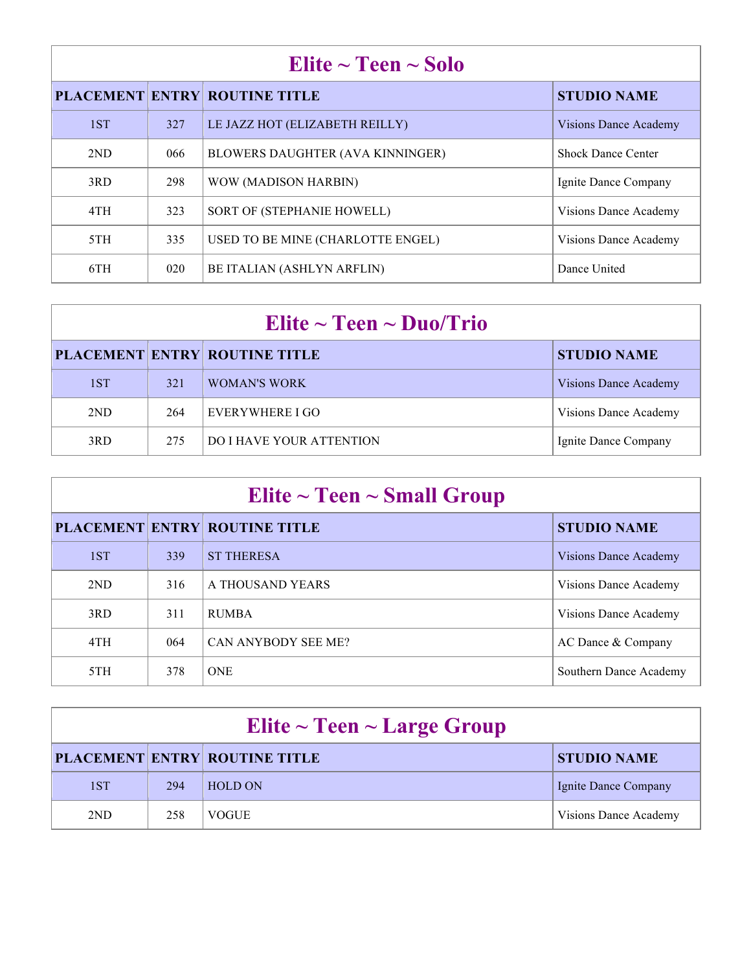| Elite $\sim$ Teen $\sim$ Solo |     |                                      |                           |  |
|-------------------------------|-----|--------------------------------------|---------------------------|--|
|                               |     | <b>PLACEMENT ENTRY ROUTINE TITLE</b> | <b>STUDIO NAME</b>        |  |
| 1ST                           | 327 | LE JAZZ HOT (ELIZABETH REILLY)       | Visions Dance Academy     |  |
| 2 <sub>ND</sub>               | 066 | BLOWERS DAUGHTER (AVA KINNINGER)     | <b>Shock Dance Center</b> |  |
| 3RD                           | 298 | WOW (MADISON HARBIN)                 | Ignite Dance Company      |  |
| 4TH                           | 323 | SORT OF (STEPHANIE HOWELL)           | Visions Dance Academy     |  |
| 5TH                           | 335 | USED TO BE MINE (CHARLOTTE ENGEL)    | Visions Dance Academy     |  |
| 6TH                           | 020 | BE ITALIAN (ASHLYN ARFLIN)           | Dance United              |  |

|     |     | <b>PLACEMENT ENTRY ROUTINE TITLE</b> | <b>STUDIO NAME</b>    |
|-----|-----|--------------------------------------|-----------------------|
| 1ST | 321 | <b>WOMAN'S WORK</b>                  | Visions Dance Academy |
| 2ND | 264 | EVERYWHERE I GO                      | Visions Dance Academy |
| 3RD | 275 | <b>DO I HAVE YOUR ATTENTION</b>      | Ignite Dance Company  |

| Elite $\sim$ Teen $\sim$ Small Group |     |                                      |                              |  |
|--------------------------------------|-----|--------------------------------------|------------------------------|--|
|                                      |     | <b>PLACEMENT ENTRY ROUTINE TITLE</b> | <b>STUDIO NAME</b>           |  |
| 1ST                                  | 339 | <b>ST THERESA</b>                    | <b>Visions Dance Academy</b> |  |
| 2ND                                  | 316 | A THOUSAND YEARS                     | Visions Dance Academy        |  |
| 3RD                                  | 311 | <b>RUMBA</b>                         | <b>Visions Dance Academy</b> |  |
| 4TH                                  | 064 | CAN ANYBODY SEE ME?                  | AC Dance & Company           |  |
| 5TH                                  | 378 | <b>ONE</b>                           | Southern Dance Academy       |  |

| Elite $\sim$ Teen $\sim$ Large Group |     |                                      |                       |  |
|--------------------------------------|-----|--------------------------------------|-----------------------|--|
|                                      |     | <b>PLACEMENT ENTRY ROUTINE TITLE</b> | <b>STUDIO NAME</b>    |  |
| 1ST                                  | 294 | <b>HOLD ON</b>                       | Ignite Dance Company  |  |
| 2ND                                  | 258 | <b>VOGUE</b>                         | Visions Dance Academy |  |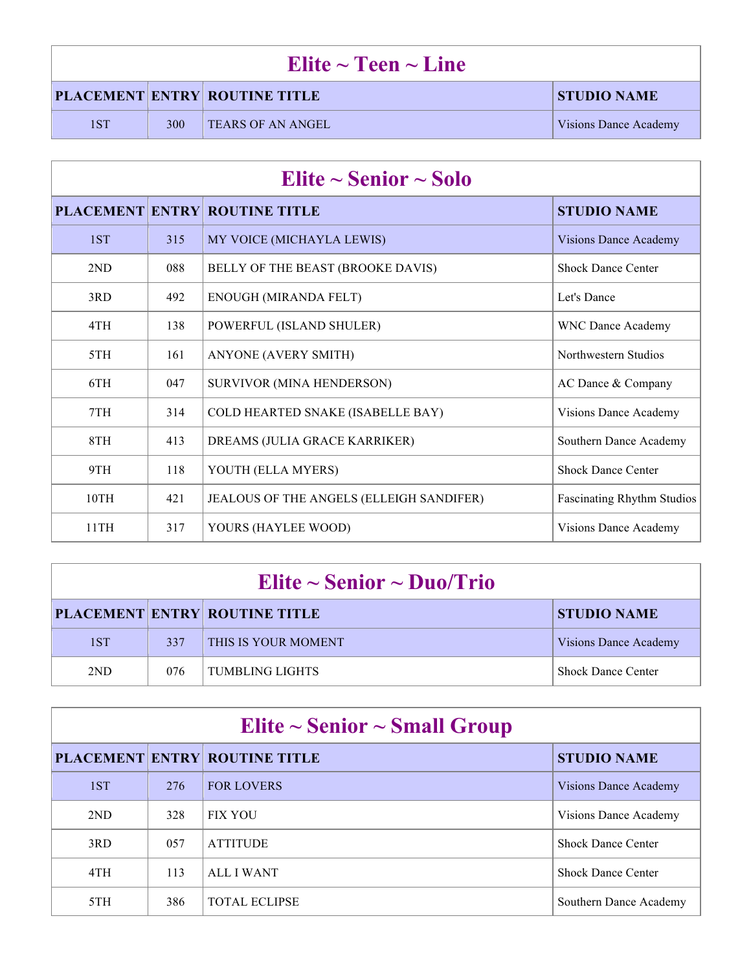| Elite $\sim$ Teen $\sim$ Line |     |                                 |                              |  |  |
|-------------------------------|-----|---------------------------------|------------------------------|--|--|
|                               |     | PLACEMENT ENTRY   ROUTINE TITLE | <b>STUDIO NAME</b>           |  |  |
| 1ST                           | 300 | $\Box$ TEARS OF AN ANGEL        | <b>Visions Dance Academy</b> |  |  |

| Elite $\sim$ Senior $\sim$ Solo |     |                                          |                                   |  |
|---------------------------------|-----|------------------------------------------|-----------------------------------|--|
|                                 |     | <b>PLACEMENT ENTRY ROUTINE TITLE</b>     | <b>STUDIO NAME</b>                |  |
| 1ST                             | 315 | MY VOICE (MICHAYLA LEWIS)                | Visions Dance Academy             |  |
| 2ND                             | 088 | BELLY OF THE BEAST (BROOKE DAVIS)        | <b>Shock Dance Center</b>         |  |
| 3RD                             | 492 | <b>ENOUGH (MIRANDA FELT)</b>             | Let's Dance                       |  |
| 4TH                             | 138 | POWERFUL (ISLAND SHULER)                 | <b>WNC Dance Academy</b>          |  |
| 5TH                             | 161 | <b>ANYONE (AVERY SMITH)</b>              | Northwestern Studios              |  |
| 6TH                             | 047 | <b>SURVIVOR (MINA HENDERSON)</b>         | AC Dance & Company                |  |
| 7TH                             | 314 | <b>COLD HEARTED SNAKE (ISABELLE BAY)</b> | Visions Dance Academy             |  |
| 8TH                             | 413 | DREAMS (JULIA GRACE KARRIKER)            | Southern Dance Academy            |  |
| 9TH                             | 118 | YOUTH (ELLA MYERS)                       | <b>Shock Dance Center</b>         |  |
| 10TH                            | 421 | JEALOUS OF THE ANGELS (ELLEIGH SANDIFER) | <b>Fascinating Rhythm Studios</b> |  |
| 11TH                            | 317 | YOURS (HAYLEE WOOD)                      | Visions Dance Academy             |  |

| Elite ~ Senior ~ Duo/Trio |     |                                      |                              |  |
|---------------------------|-----|--------------------------------------|------------------------------|--|
|                           |     | <b>PLACEMENT ENTRY ROUTINE TITLE</b> | <b>STUDIO NAME</b>           |  |
| 1ST                       | 337 | <b>THIS IS YOUR MOMENT</b>           | <b>Visions Dance Academy</b> |  |
| 2ND                       | 076 | <b>TUMBLING LIGHTS</b>               | <b>Shock Dance Center</b>    |  |

| Elite $\sim$ Senior $\sim$ Small Group |     |                                      |                           |  |  |
|----------------------------------------|-----|--------------------------------------|---------------------------|--|--|
|                                        |     | <b>PLACEMENT ENTRY ROUTINE TITLE</b> | <b>STUDIO NAME</b>        |  |  |
| 1ST                                    | 276 | <b>FOR LOVERS</b>                    | Visions Dance Academy     |  |  |
| 2ND                                    | 328 | <b>FIX YOU</b>                       | Visions Dance Academy     |  |  |
| 3RD                                    | 057 | <b>ATTITUDE</b>                      | <b>Shock Dance Center</b> |  |  |
| 4TH                                    | 113 | <b>ALL I WANT</b>                    | <b>Shock Dance Center</b> |  |  |
| 5TH                                    | 386 | <b>TOTAL ECLIPSE</b>                 | Southern Dance Academy    |  |  |